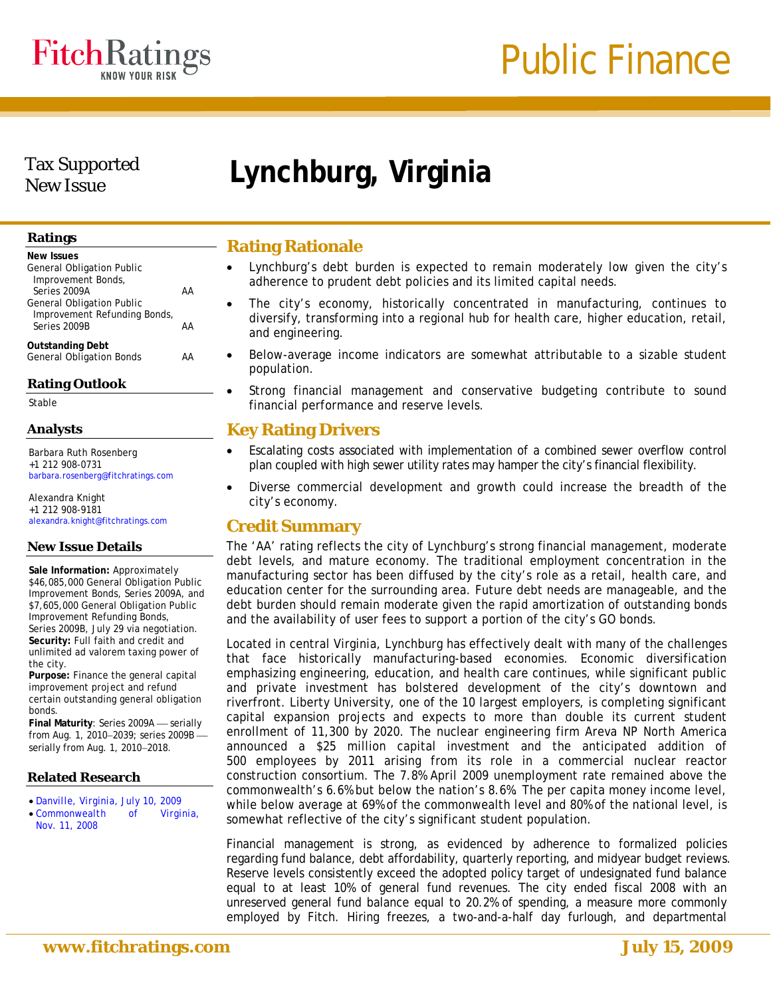

# Tax Supported

# New Issue **Lynchburg, Virginia**

| <b>New Issues</b>                                          |    |
|------------------------------------------------------------|----|
| <b>General Obligation Public</b>                           |    |
| Improvement Bonds,                                         |    |
| Series 2009A                                               | ΔΔ |
| <b>General Obligation Public</b>                           |    |
| Improvement Refunding Bonds,                               |    |
| Series 2009B                                               | ΔΔ |
|                                                            |    |
| <b>Outstanding Debt</b><br><b>General Obligation Bonds</b> |    |
|                                                            |    |

# **Rating Outlook**

Stable

# **Analysts**

Barbara Ruth Rosenberg +1 212 908-0731 barbara.rosenberg@fitchratings.com

Alexandra Knight +1 212 908-9181 alexandra.knight@fitchratings.com

# **New Issue Details**

**Sale Information:** Approximately \$46,085,000 General Obligation Public Improvement Bonds, Series 2009A, and \$7,605,000 General Obligation Public Improvement Refunding Bonds, Series 2009B, July 29 via negotiation. **Security:** Full faith and credit and unlimited ad valorem taxing power of the city.

**Purpose:** Finance the general capital improvement project and refund certain outstanding general obligation bonds.

**Final Maturity: Series 2009A** - serially from Aug. 1, 2010-2039; series 2009Bserially from Aug. 1, 2010-2018.

## **Related Research**

- *[Danville, Virginia, July 10, 2009](http://www.fitchratings.com/creditdesk/reports/report_frame.cfm?rpt_id=458346)*
- *[Commonwealth of Virginia,](http://www.fitchratings.com/creditdesk/reports/report_frame.cfm?rpt_id=413306)  [Nov. 11, 2008](http://www.fitchratings.com/creditdesk/reports/report_frame.cfm?rpt_id=413306)*

# **Ratings** Rating Rationale

- Lynchburg's debt burden is expected to remain moderately low given the city's adherence to prudent debt policies and its limited capital needs.
- The city's economy, historically concentrated in manufacturing, continues to diversify, transforming into a regional hub for health care, higher education, retail, and engineering.
- Below-average income indicators are somewhat attributable to a sizable student population.
- Strong financial management and conservative budgeting contribute to sound financial performance and reserve levels.

# **Key Rating Drivers**

- Escalating costs associated with implementation of a combined sewer overflow control plan coupled with high sewer utility rates may hamper the city's financial flexibility.
- Diverse commercial development and growth could increase the breadth of the city's economy.

# **Credit Summary**

The 'AA' rating reflects the city of Lynchburg's strong financial management, moderate debt levels, and mature economy. The traditional employment concentration in the manufacturing sector has been diffused by the city's role as a retail, health care, and education center for the surrounding area. Future debt needs are manageable, and the debt burden should remain moderate given the rapid amortization of outstanding bonds and the availability of user fees to support a portion of the city's GO bonds.

Located in central Virginia, Lynchburg has effectively dealt with many of the challenges that face historically manufacturing-based economies. Economic diversification emphasizing engineering, education, and health care continues, while significant public and private investment has bolstered development of the city's downtown and riverfront. Liberty University, one of the 10 largest employers, is completing significant capital expansion projects and expects to more than double its current student enrollment of 11,300 by 2020. The nuclear engineering firm Areva NP North America announced a \$25 million capital investment and the anticipated addition of 500 employees by 2011 arising from its role in a commercial nuclear reactor construction consortium. The 7.8% April 2009 unemployment rate remained above the commonwealth's 6.6% but below the nation's 8.6%. The per capita money income level, while below average at 69% of the commonwealth level and 80% of the national level, is somewhat reflective of the city's significant student population.

Financial management is strong, as evidenced by adherence to formalized policies regarding fund balance, debt affordability, quarterly reporting, and midyear budget reviews. Reserve levels consistently exceed the adopted policy target of undesignated fund balance equal to at least 10% of general fund revenues. The city ended fiscal 2008 with an unreserved general fund balance equal to 20.2% of spending, a measure more commonly employed by Fitch. Hiring freezes, a two-and-a-half day furlough, and departmental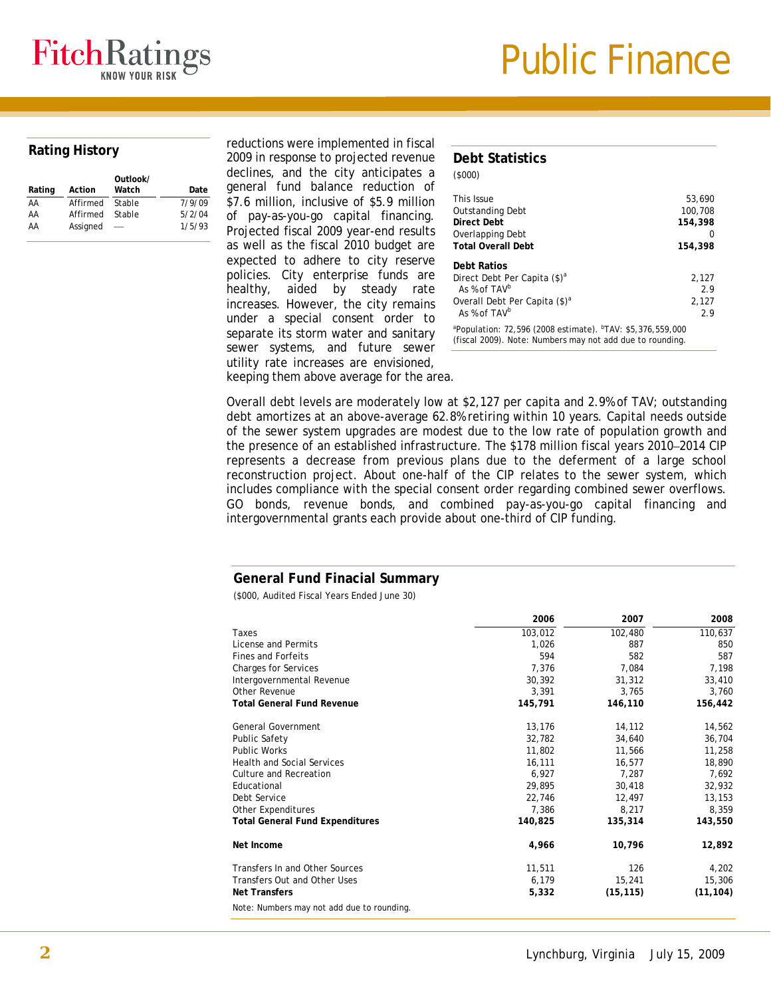

| Rating | Action   | Outlook/<br>Watch | Date   |
|--------|----------|-------------------|--------|
| AA     | Affirmed | Stable            | 7/9/09 |
| AA     | Affirmed | Stable            | 5/2/04 |
| AA     | Assigned |                   | 1/5/93 |

reductions were implemented in fiscal Rating History **1992 is a controlled to projected revenue Debt Statistics Response to projected revenue Debt Statistics** declines, and the city anticipates a general fund balance reduction of \$7.6 million, inclusive of \$5.9 million of pay-as-you-go capital financing. Projected fiscal 2009 year-end results as well as the fiscal 2010 budget are expected to adhere to city reserve policies. City enterprise funds are healthy, aided by steady rate increases. However, the city remains under a special consent order to separate its storm water and sanitary sewer systems, and future sewer utility rate increases are envisioned, keeping them above average for the area.

|  | <b>Debt Statistics</b> |  |  |
|--|------------------------|--|--|
|--|------------------------|--|--|

 $(6000)$ 

| 1.90001                                                                                                                                         |         |
|-------------------------------------------------------------------------------------------------------------------------------------------------|---------|
| This Issue                                                                                                                                      | 53,690  |
| <b>Outstanding Debt</b>                                                                                                                         | 100,708 |
| Direct Debt                                                                                                                                     | 154,398 |
| Overlapping Debt                                                                                                                                | 0       |
| <b>Total Overall Debt</b>                                                                                                                       | 154,398 |
| <b>Debt Ratios</b>                                                                                                                              |         |
| Direct Debt Per Capita (\$) <sup>a</sup>                                                                                                        | 2.127   |
| As % of TAV <sup>b</sup>                                                                                                                        | 2.9     |
| Overall Debt Per Capita (\$) <sup>a</sup>                                                                                                       | 2,127   |
| As % of TAV <sup>b</sup>                                                                                                                        | 2.9     |
| <sup>a</sup> Population: 72,596 (2008 estimate). <sup>b</sup> TAV: \$5,376,559,000<br>(fiscal 2009). Note: Numbers may not add due to rounding. |         |

Overall debt levels are moderately low at \$2,127 per capita and 2.9% of TAV; outstanding debt amortizes at an above-average 62.8% retiring within 10 years. Capital needs outside of the sewer system upgrades are modest due to the low rate of population growth and the presence of an established infrastructure. The \$178 million fiscal years 2010–2014 CIP represents a decrease from previous plans due to the deferment of a large school reconstruction project. About one-half of the CIP relates to the sewer system, which includes compliance with the special consent order regarding combined sewer overflows. GO bonds, revenue bonds, and combined pay-as-you-go capital financing and intergovernmental grants each provide about one-third of CIP funding.

### **General Fund Finacial Summary**

(\$000, Audited Fiscal Years Ended June 30)

|                                            | 2006    | 2007      | 2008      |
|--------------------------------------------|---------|-----------|-----------|
| Taxes                                      | 103,012 | 102,480   | 110,637   |
| License and Permits                        | 1,026   | 887       | 850       |
| <b>Fines and Forfeits</b>                  | 594     | 582       | 587       |
| <b>Charges for Services</b>                | 7,376   | 7,084     | 7,198     |
| Intergovernmental Revenue                  | 30,392  | 31,312    | 33,410    |
| Other Revenue                              | 3,391   | 3,765     | 3,760     |
| <b>Total General Fund Revenue</b>          | 145,791 | 146,110   | 156,442   |
| <b>General Government</b>                  | 13,176  | 14,112    | 14,562    |
| Public Safety                              | 32,782  | 34,640    | 36,704    |
| <b>Public Works</b>                        | 11,802  | 11,566    | 11,258    |
| <b>Health and Social Services</b>          | 16,111  | 16,577    | 18,890    |
| Culture and Recreation                     | 6,927   | 7,287     | 7,692     |
| Educational                                | 29,895  | 30,418    | 32,932    |
| Debt Service                               | 22,746  | 12,497    | 13,153    |
| Other Expenditures                         | 7.386   | 8,217     | 8,359     |
| <b>Total General Fund Expenditures</b>     | 140,825 | 135,314   | 143,550   |
| Net Income                                 | 4,966   | 10,796    | 12,892    |
| Transfers In and Other Sources             | 11,511  | 126       | 4,202     |
| Transfers Out and Other Uses               | 6,179   | 15,241    | 15,306    |
| <b>Net Transfers</b>                       | 5,332   | (15, 115) | (11, 104) |
| Note: Numbers may not add due to rounding. |         |           |           |